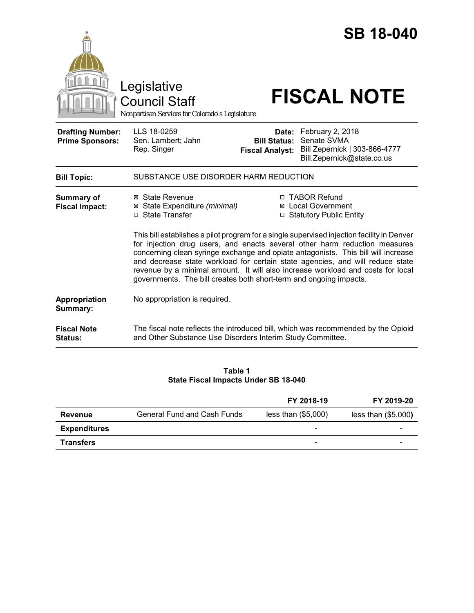|                                                   |                                                                                                                                                                                                                                                                                                                                                                                                                                                                                                         |                                               | <b>SB 18-040</b>                                                                                     |  |
|---------------------------------------------------|---------------------------------------------------------------------------------------------------------------------------------------------------------------------------------------------------------------------------------------------------------------------------------------------------------------------------------------------------------------------------------------------------------------------------------------------------------------------------------------------------------|-----------------------------------------------|------------------------------------------------------------------------------------------------------|--|
|                                                   | Legislative<br><b>Council Staff</b><br>Nonpartisan Services for Colorado's Legislature                                                                                                                                                                                                                                                                                                                                                                                                                  |                                               | <b>FISCAL NOTE</b>                                                                                   |  |
| <b>Drafting Number:</b><br><b>Prime Sponsors:</b> | LLS 18-0259<br>Sen. Lambert; Jahn<br>Rep. Singer                                                                                                                                                                                                                                                                                                                                                                                                                                                        | <b>Bill Status:</b><br><b>Fiscal Analyst:</b> | Date: February 2, 2018<br>Senate SVMA<br>Bill Zepernick   303-866-4777<br>Bill.Zepernick@state.co.us |  |
| <b>Bill Topic:</b>                                | SUBSTANCE USE DISORDER HARM REDUCTION                                                                                                                                                                                                                                                                                                                                                                                                                                                                   |                                               |                                                                                                      |  |
| <b>Summary of</b><br><b>Fiscal Impact:</b>        | ⊠ State Revenue<br>⊠ State Expenditure (minimal)<br>□ State Transfer                                                                                                                                                                                                                                                                                                                                                                                                                                    |                                               | □ TABOR Refund<br>⊠ Local Government<br>□ Statutory Public Entity                                    |  |
|                                                   | This bill establishes a pilot program for a single supervised injection facility in Denver<br>for injection drug users, and enacts several other harm reduction measures<br>concerning clean syringe exchange and opiate antagonists. This bill will increase<br>and decrease state workload for certain state agencies, and will reduce state<br>revenue by a minimal amount. It will also increase workload and costs for local<br>governments. The bill creates both short-term and ongoing impacts. |                                               |                                                                                                      |  |
| Appropriation<br>Summary:                         | No appropriation is required.                                                                                                                                                                                                                                                                                                                                                                                                                                                                           |                                               |                                                                                                      |  |
| <b>Fiscal Note</b><br>Status:                     | The fiscal note reflects the introduced bill, which was recommended by the Opioid<br>and Other Substance Use Disorders Interim Study Committee.                                                                                                                                                                                                                                                                                                                                                         |                                               |                                                                                                      |  |

#### **Table 1 State Fiscal Impacts Under SB 18-040**

|                     |                                    | FY 2018-19                   | FY 2019-20            |
|---------------------|------------------------------------|------------------------------|-----------------------|
| <b>Revenue</b>      | <b>General Fund and Cash Funds</b> | less than $(\$5,000)$        | less than $(\$5,000)$ |
| <b>Expenditures</b> |                                    | $\overline{\phantom{a}}$     |                       |
| <b>Transfers</b>    |                                    | $\qquad \qquad \blacksquare$ | -                     |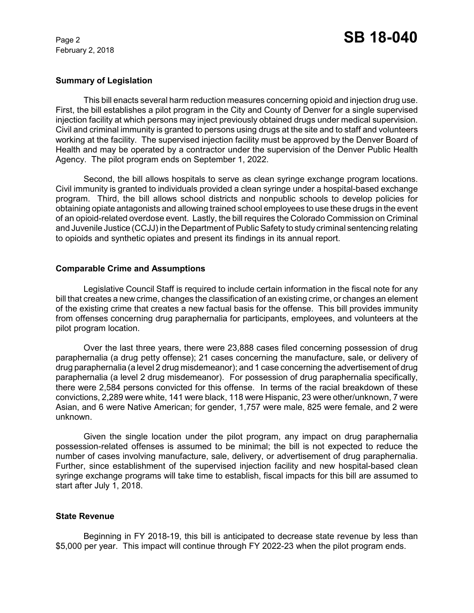February 2, 2018

## **Summary of Legislation**

This bill enacts several harm reduction measures concerning opioid and injection drug use. First, the bill establishes a pilot program in the City and County of Denver for a single supervised injection facility at which persons may inject previously obtained drugs under medical supervision. Civil and criminal immunity is granted to persons using drugs at the site and to staff and volunteers working at the facility. The supervised injection facility must be approved by the Denver Board of Health and may be operated by a contractor under the supervision of the Denver Public Health Agency. The pilot program ends on September 1, 2022.

Second, the bill allows hospitals to serve as clean syringe exchange program locations. Civil immunity is granted to individuals provided a clean syringe under a hospital-based exchange program. Third, the bill allows school districts and nonpublic schools to develop policies for obtaining opiate antagonists and allowing trained school employees to use these drugs in the event of an opioid-related overdose event. Lastly, the bill requires the Colorado Commission on Criminal and Juvenile Justice (CCJJ) in the Department of Public Safety to study criminal sentencing relating to opioids and synthetic opiates and present its findings in its annual report.

## **Comparable Crime and Assumptions**

Legislative Council Staff is required to include certain information in the fiscal note for any bill that creates a new crime, changes the classification of an existing crime, or changes an element of the existing crime that creates a new factual basis for the offense. This bill provides immunity from offenses concerning drug paraphernalia for participants, employees, and volunteers at the pilot program location.

Over the last three years, there were 23,888 cases filed concerning possession of drug paraphernalia (a drug petty offense); 21 cases concerning the manufacture, sale, or delivery of drug paraphernalia (a level 2 drug misdemeanor); and 1 case concerning the advertisement of drug paraphernalia (a level 2 drug misdemeanor). For possession of drug paraphernalia specifically, there were 2,584 persons convicted for this offense. In terms of the racial breakdown of these convictions, 2,289 were white, 141 were black, 118 were Hispanic, 23 were other/unknown, 7 were Asian, and 6 were Native American; for gender, 1,757 were male, 825 were female, and 2 were unknown.

Given the single location under the pilot program, any impact on drug paraphernalia possession-related offenses is assumed to be minimal; the bill is not expected to reduce the number of cases involving manufacture, sale, delivery, or advertisement of drug paraphernalia. Further, since establishment of the supervised injection facility and new hospital-based clean syringe exchange programs will take time to establish, fiscal impacts for this bill are assumed to start after July 1, 2018.

# **State Revenue**

Beginning in FY 2018-19, this bill is anticipated to decrease state revenue by less than \$5,000 per year. This impact will continue through FY 2022-23 when the pilot program ends.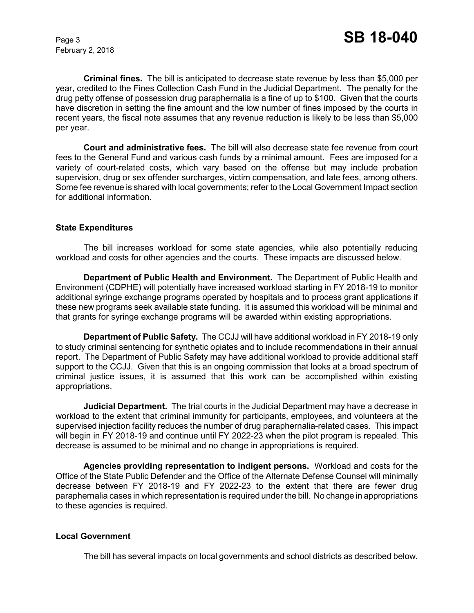February 2, 2018

**Criminal fines.** The bill is anticipated to decrease state revenue by less than \$5,000 per year, credited to the Fines Collection Cash Fund in the Judicial Department. The penalty for the drug petty offense of possession drug paraphernalia is a fine of up to \$100. Given that the courts have discretion in setting the fine amount and the low number of fines imposed by the courts in recent years, the fiscal note assumes that any revenue reduction is likely to be less than \$5,000 per year.

**Court and administrative fees.** The bill will also decrease state fee revenue from court fees to the General Fund and various cash funds by a minimal amount. Fees are imposed for a variety of court-related costs, which vary based on the offense but may include probation supervision, drug or sex offender surcharges, victim compensation, and late fees, among others. Some fee revenue is shared with local governments; refer to the Local Government Impact section for additional information.

### **State Expenditures**

The bill increases workload for some state agencies, while also potentially reducing workload and costs for other agencies and the courts. These impacts are discussed below.

**Department of Public Health and Environment.** The Department of Public Health and Environment (CDPHE) will potentially have increased workload starting in FY 2018-19 to monitor additional syringe exchange programs operated by hospitals and to process grant applications if these new programs seek available state funding. It is assumed this workload will be minimal and that grants for syringe exchange programs will be awarded within existing appropriations.

**Department of Public Safety.** The CCJJ will have additional workload in FY 2018-19 only to study criminal sentencing for synthetic opiates and to include recommendations in their annual report. The Department of Public Safety may have additional workload to provide additional staff support to the CCJJ. Given that this is an ongoing commission that looks at a broad spectrum of criminal justice issues, it is assumed that this work can be accomplished within existing appropriations.

**Judicial Department.** The trial courts in the Judicial Department may have a decrease in workload to the extent that criminal immunity for participants, employees, and volunteers at the supervised injection facility reduces the number of drug paraphernalia-related cases. This impact will begin in FY 2018-19 and continue until FY 2022-23 when the pilot program is repealed. This decrease is assumed to be minimal and no change in appropriations is required.

**Agencies providing representation to indigent persons.** Workload and costs for the Office of the State Public Defender and the Office of the Alternate Defense Counsel will minimally decrease between FY 2018-19 and FY 2022-23 to the extent that there are fewer drug paraphernalia cases in which representation is required under the bill. No change in appropriations to these agencies is required.

## **Local Government**

The bill has several impacts on local governments and school districts as described below.